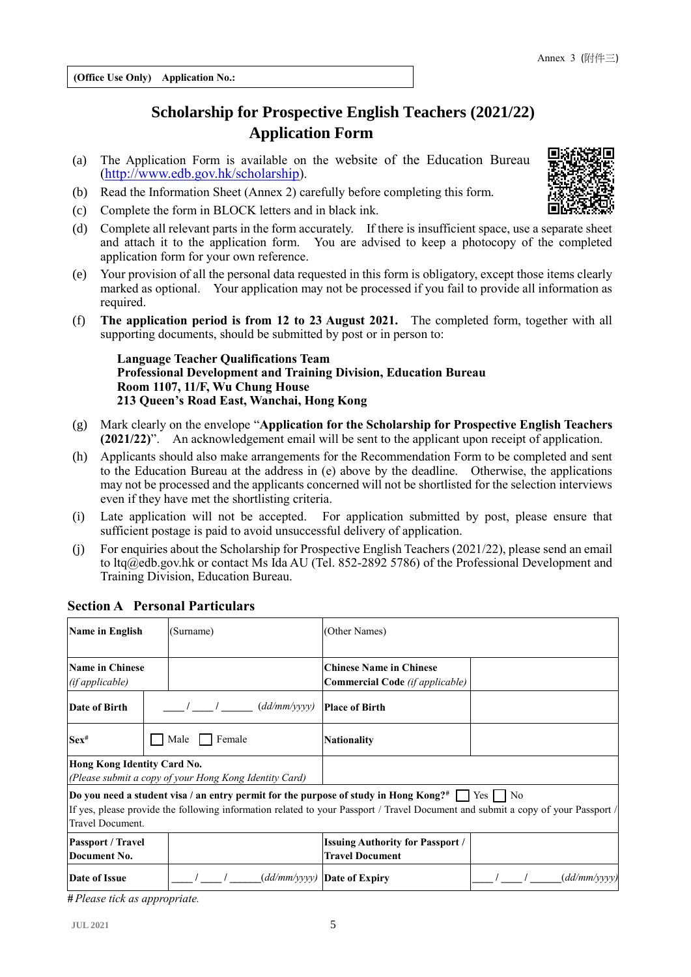**(Office Use Only) Application No.:**

# **Scholarship for Prospective English Teachers (2021/22) Application Form**

- (a) The Application Form is available on the website of the Education Bureau [\(http://www.edb.gov.hk/scholarship\)](http://www.edb.gov.hk/scholarship).
- (b) Read the Information Sheet (Annex 2) carefully before completing this form.
- (c) Complete the form in BLOCK letters and in black ink.
- (d) Complete all relevant parts in the form accurately. If there is insufficient space, use a separate sheet and attach it to the application form. You are advised to keep a photocopy of the completed application form for your own reference.
- (e) Your provision of all the personal data requested in this form is obligatory, except those items clearly marked as optional. Your application may not be processed if you fail to provide all information as required.
- (f) **The application period is from 12 to 23 August 2021.** The completed form, together with all supporting documents, should be submitted by post or in person to:

**Language Teacher Qualifications Team Professional Development and Training Division, Education Bureau Room 1107, 11/F, Wu Chung House 213 Queen's Road East, Wanchai, Hong Kong**

- (g) Mark clearly on the envelope "**Application for the Scholarship for Prospective English Teachers (2021/22)**". An acknowledgement email will be sent to the applicant upon receipt of application.
- (h) Applicants should also make arrangements for the Recommendation Form to be completed and sent to the Education Bureau at the address in (e) above by the deadline. Otherwise, the applications may not be processed and the applicants concerned will not be shortlisted for the selection interviews even if they have met the shortlisting criteria.
- (i) Late application will not be accepted. For application submitted by post, please ensure that sufficient postage is paid to avoid unsuccessful delivery of application.
- (j) For enquiries about the Scholarship for Prospective English Teachers (2021/22), please send an email to ltq@edb.gov.hk or contact Ms Ida AU (Tel. 852-2892 5786) of the Professional Development and Training Division, Education Bureau.

| Name in English                                                                       |                                                                                                                                                                                                                                                           | (Surname)      | (Other Names)                                                     |              |  |
|---------------------------------------------------------------------------------------|-----------------------------------------------------------------------------------------------------------------------------------------------------------------------------------------------------------------------------------------------------------|----------------|-------------------------------------------------------------------|--------------|--|
| <b>Name in Chinese</b><br>(if applicable)                                             |                                                                                                                                                                                                                                                           |                | <b>Chinese Name in Chinese</b><br>Commercial Code (if applicable) |              |  |
| Date of Birth                                                                         |                                                                                                                                                                                                                                                           | (dd/mm/yyyy)   | <b>Place of Birth</b>                                             |              |  |
| $Sex^{\#}$                                                                            |                                                                                                                                                                                                                                                           | Male<br>Female | <b>Nationality</b>                                                |              |  |
| Hong Kong Identity Card No.<br>(Please submit a copy of your Hong Kong Identity Card) |                                                                                                                                                                                                                                                           |                |                                                                   |              |  |
| Travel Document.                                                                      | Do you need a student visa / an entry permit for the purpose of study in Hong Kong? <sup>#</sup> $\Box$ Yes $\Box$ No<br>If yes, please provide the following information related to your Passport / Travel Document and submit a copy of your Passport / |                |                                                                   |              |  |
| <b>Passport / Travel</b><br>Document No.                                              |                                                                                                                                                                                                                                                           |                | <b>Issuing Authority for Passport /</b><br><b>Travel Document</b> |              |  |
| Date of Issue                                                                         |                                                                                                                                                                                                                                                           |                | $(dd/mm/yyyy)$ Date of Expiry                                     | (dd/mm/vvvv) |  |

#### **Section A Personal Particulars**

*# Please tick as appropriate.*

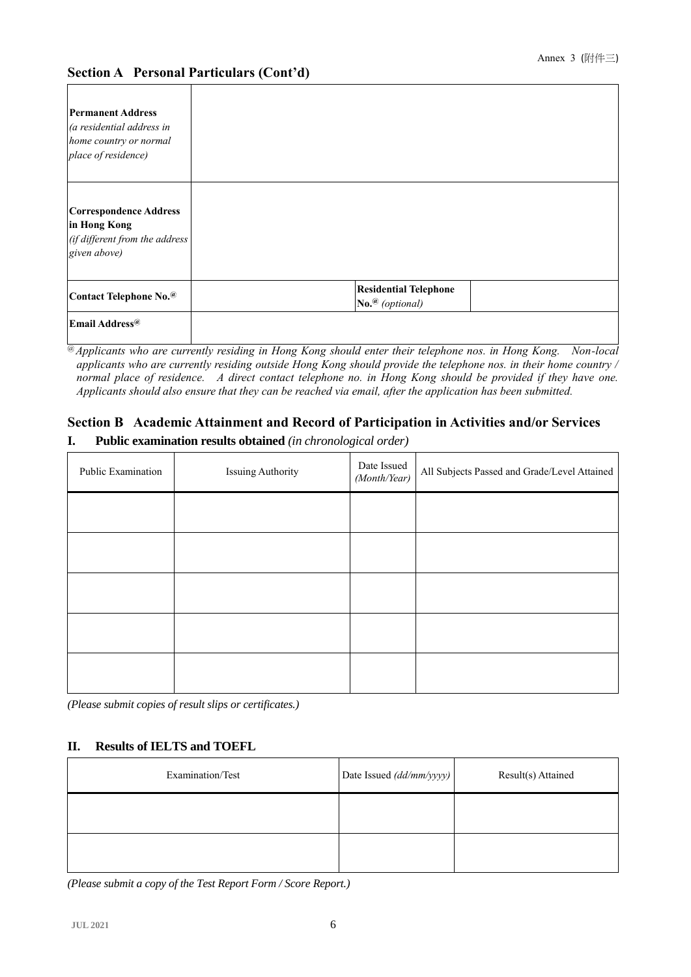| <b>Permanent Address</b><br>(a residential address in<br>home country or normal<br>place of residence) |                                                                           |  |
|--------------------------------------------------------------------------------------------------------|---------------------------------------------------------------------------|--|
| <b>Correspondence Address</b><br>in Hong Kong<br>(if different from the address<br>given above)        |                                                                           |  |
| Contact Telephone No.@                                                                                 | <b>Residential Telephone</b><br>$\mathbf{No}.\n$ <sup>(@</sup> (optional) |  |
| Email Address <sup>@</sup>                                                                             |                                                                           |  |

@ *Applicants who are currently residing in Hong Kong should enter their telephone nos. in Hong Kong. Non-local applicants who are currently residing outside Hong Kong should provide the telephone nos. in their home country / normal place of residence. A direct contact telephone no. in Hong Kong should be provided if they have one. Applicants should also ensure that they can be reached via email, after the application has been submitted.*

## **Section B Academic Attainment and Record of Participation in Activities and/or Services**

| Public Examination | <b>Issuing Authority</b> | Date Issued<br>(Month/Year) | All Subjects Passed and Grade/Level Attained |
|--------------------|--------------------------|-----------------------------|----------------------------------------------|
|                    |                          |                             |                                              |
|                    |                          |                             |                                              |
|                    |                          |                             |                                              |
|                    |                          |                             |                                              |
|                    |                          |                             |                                              |

**I. Public examination results obtained** *(in chronological order)* 

*(Please submit copies of result slips or certificates.)*

#### **II. Results of IELTS and TOEFL**

| Examination/Test | Date Issued (dd/mm/yyyy) | Result(s) Attained |
|------------------|--------------------------|--------------------|
|                  |                          |                    |
|                  |                          |                    |

*(Please submit a copy of the Test Report Form / Score Report.)*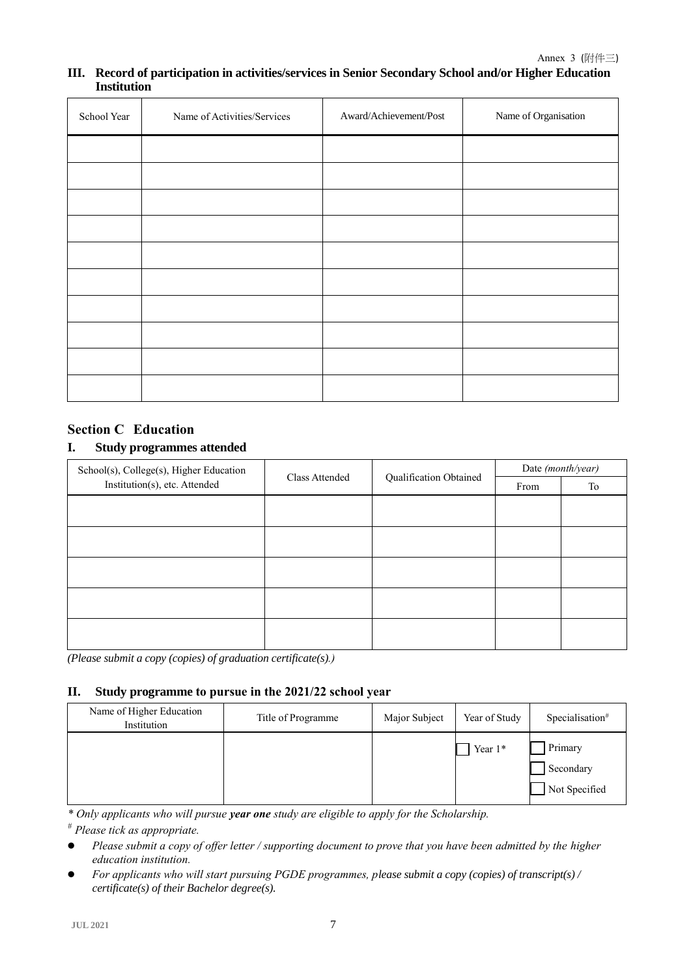#### **III. Record of participation in activities/services in Senior Secondary School and/or Higher Education Institution**

| School Year | Name of Activities/Services | Award/Achievement/Post | Name of Organisation |
|-------------|-----------------------------|------------------------|----------------------|
|             |                             |                        |                      |
|             |                             |                        |                      |
|             |                             |                        |                      |
|             |                             |                        |                      |
|             |                             |                        |                      |
|             |                             |                        |                      |
|             |                             |                        |                      |
|             |                             |                        |                      |
|             |                             |                        |                      |
|             |                             |                        |                      |

# **Section C Education**

#### **I. Study programmes attended**

| School(s), College(s), Higher Education |                                                 | Date (month/year) |    |
|-----------------------------------------|-------------------------------------------------|-------------------|----|
| Institution(s), etc. Attended           | Qualification Obtained<br><b>Class Attended</b> |                   | To |
|                                         |                                                 |                   |    |
|                                         |                                                 |                   |    |
|                                         |                                                 |                   |    |
|                                         |                                                 |                   |    |
|                                         |                                                 |                   |    |
|                                         |                                                 |                   |    |
|                                         |                                                 |                   |    |
|                                         |                                                 |                   |    |
|                                         |                                                 |                   |    |
|                                         |                                                 |                   |    |

*(Please submit a copy (copies) of graduation certificate(s).)*

### **II. Study programme to pursue in the 2021/22 school year**

| Name of Higher Education<br>Institution | Title of Programme | Major Subject | Year of Study | Specialisation <sup>#</sup>           |
|-----------------------------------------|--------------------|---------------|---------------|---------------------------------------|
|                                         |                    |               | Year $1*$     | Primary<br>Secondary<br>Not Specified |

*\* Only applicants who will pursue year one study are eligible to apply for the Scholarship.*

*# Please tick as appropriate.*

- **•** Please submit a copy of offer letter / supporting document to prove that you have been admitted by the higher *education institution.*
- *For applicants who will start pursuing PGDE programmes, please submit a copy (copies) of transcript(s) / certificate(s) of their Bachelor degree(s).*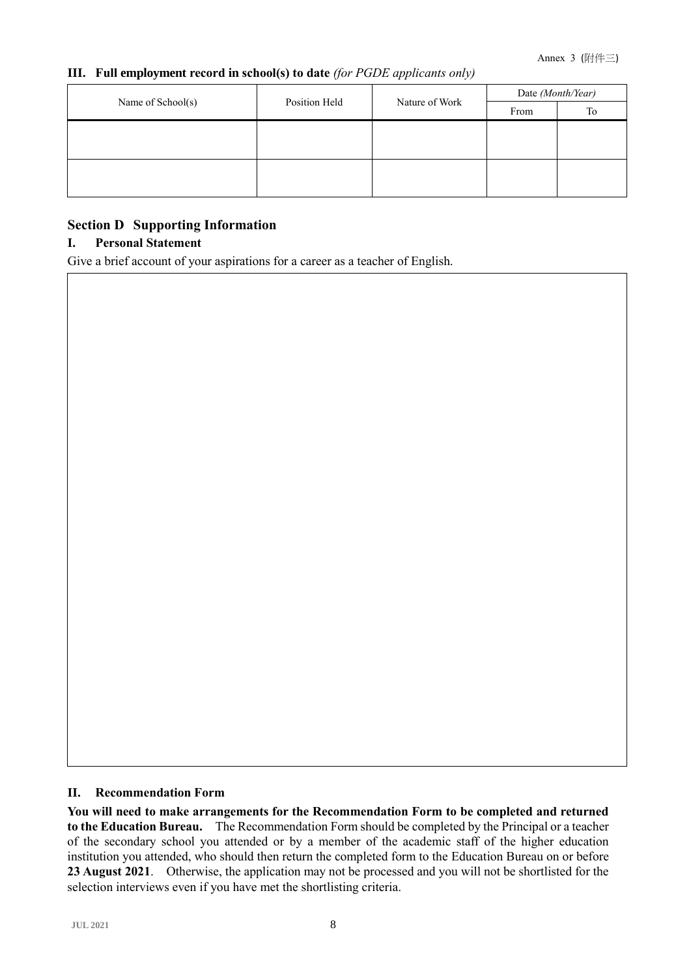### **III. Full employment record in school(s) to date** *(for PGDE applicants only)*

|                   |               |                | Date (Month/Year) |    |
|-------------------|---------------|----------------|-------------------|----|
| Name of School(s) | Position Held | Nature of Work | From              | To |
|                   |               |                |                   |    |
|                   |               |                |                   |    |
|                   |               |                |                   |    |
|                   |               |                |                   |    |

# **Section D Supporting Information**

# **I. Personal Statement**

Give a brief account of your aspirations for a career as a teacher of English.

### **II. Recommendation Form**

**You will need to make arrangements for the Recommendation Form to be completed and returned to the Education Bureau.** The Recommendation Form should be completed by the Principal or a teacher of the secondary school you attended or by a member of the academic staff of the higher education institution you attended, who should then return the completed form to the Education Bureau on or before **23 August 2021**. Otherwise, the application may not be processed and you will not be shortlisted for the selection interviews even if you have met the shortlisting criteria.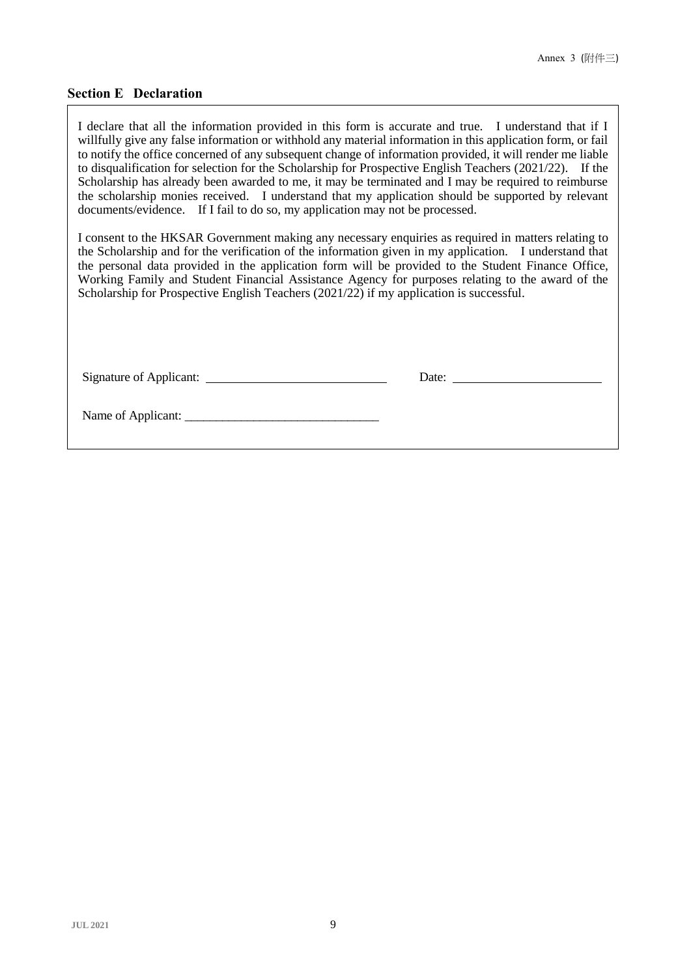### **Section E Declaration**

I declare that all the information provided in this form is accurate and true. I understand that if I willfully give any false information or withhold any material information in this application form, or fail to notify the office concerned of any subsequent change of information provided, it will render me liable to disqualification for selection for the Scholarship for Prospective English Teachers (2021/22). If the Scholarship has already been awarded to me, it may be terminated and I may be required to reimburse the scholarship monies received. I understand that my application should be supported by relevant documents/evidence. If I fail to do so, my application may not be processed.

I consent to the HKSAR Government making any necessary enquiries as required in matters relating to the Scholarship and for the verification of the information given in my application. I understand that the personal data provided in the application form will be provided to the Student Finance Office, Working Family and Student Financial Assistance Agency for purposes relating to the award of the Scholarship for Prospective English Teachers (2021/22) if my application is successful.

Signature of Applicant: Date:

Name of Applicant: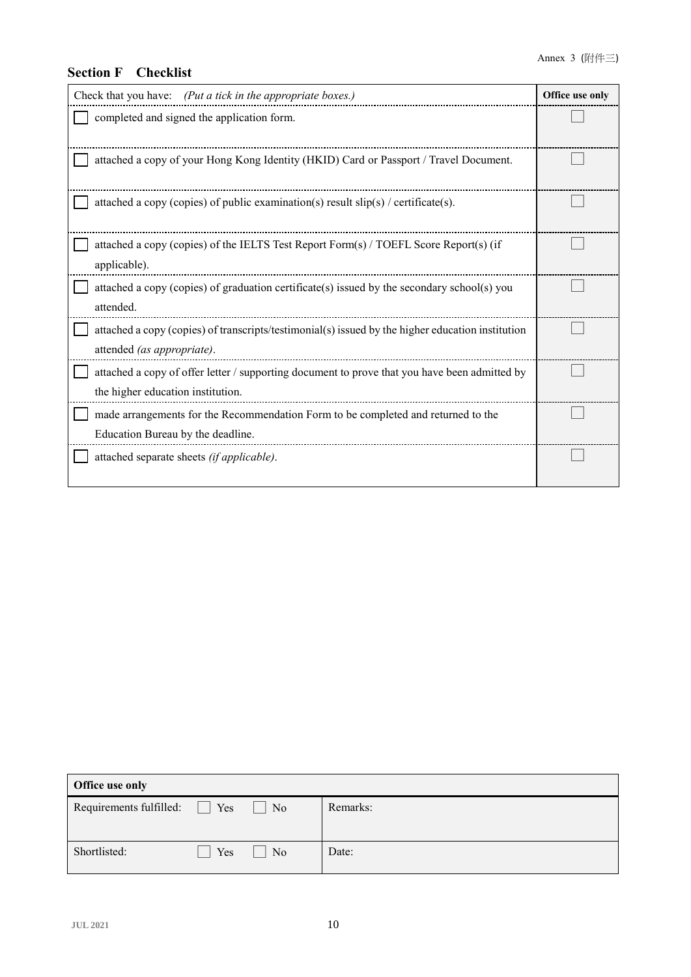# **Section F Checklist**

| Check that you have: (Put a tick in the appropriate boxes.)                                                                        | Office use only |
|------------------------------------------------------------------------------------------------------------------------------------|-----------------|
| completed and signed the application form.                                                                                         |                 |
| attached a copy of your Hong Kong Identity (HKID) Card or Passport / Travel Document.                                              |                 |
| attached a copy (copies) of public examination(s) result $slip(s)$ / certificate(s).                                               |                 |
| attached a copy (copies) of the IELTS Test Report Form(s) / TOEFL Score Report(s) (if<br>applicable).                              |                 |
| attached a copy (copies) of graduation certificate(s) issued by the secondary school(s) you<br>attended.                           |                 |
| attached a copy (copies) of transcripts/testimonial(s) issued by the higher education institution<br>attended (as appropriate).    |                 |
| attached a copy of offer letter / supporting document to prove that you have been admitted by<br>the higher education institution. |                 |
| made arrangements for the Recommendation Form to be completed and returned to the<br>Education Bureau by the deadline.             |                 |
| attached separate sheets (if applicable).                                                                                          |                 |

| <b>Office use only</b>  |          |                |          |
|-------------------------|----------|----------------|----------|
| Requirements fulfilled: | L<br>Yes | N <sub>o</sub> | Remarks: |
|                         |          |                |          |
| Shortlisted:            | Yes      | No             | Date:    |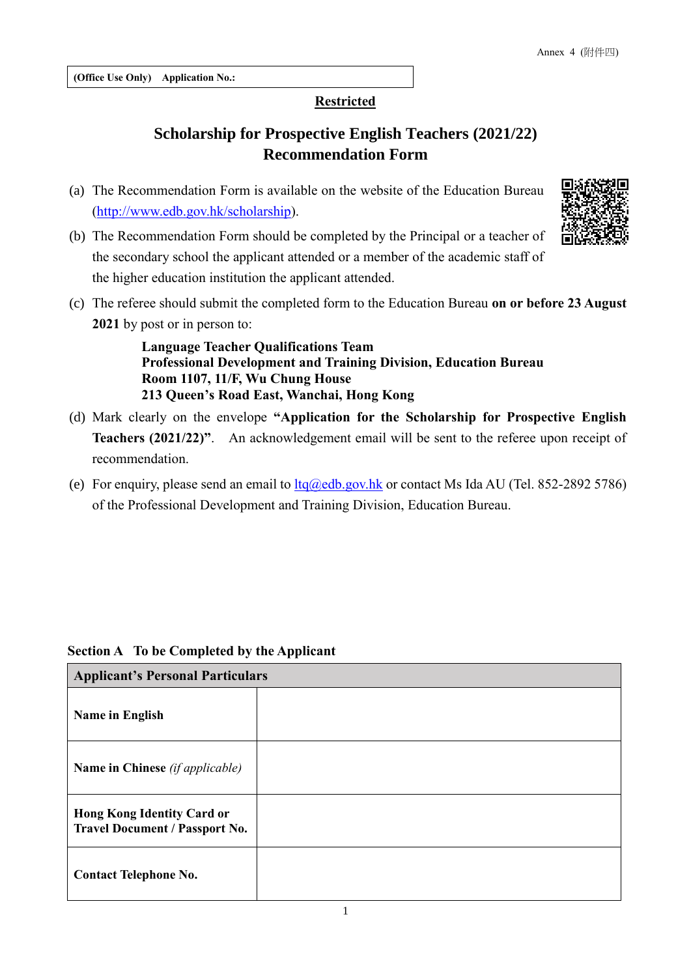### **Restricted**

# **Scholarship for Prospective English Teachers (2021/22) Recommendation Form**

(a) The Recommendation Form is available on the website of the Education Bureau [\(http://www.edb.gov.hk/scholarship\)](http://www.edb.gov.hk/scholarship).



(c) The referee should submit the completed form to the Education Bureau **on or before 23 August 2021** by post or in person to:

> **Language Teacher Qualifications Team Professional Development and Training Division, Education Bureau Room 1107, 11/F, Wu Chung House 213 Queen's Road East, Wanchai, Hong Kong**

- (d) Mark clearly on the envelope **"Application for the Scholarship for Prospective English Teachers (2021/22)"**. An acknowledgement email will be sent to the referee upon receipt of recommendation.
- (e) For enquiry, please send an email to  $l$ tq $@$ edb.gov.hk or contact Ms Ida AU (Tel. 852-2892 5786) of the Professional Development and Training Division, Education Bureau.

| <b>Applicant's Personal Particulars</b>                                    |  |  |
|----------------------------------------------------------------------------|--|--|
| <b>Name in English</b>                                                     |  |  |
| <b>Name in Chinese</b> (if applicable)                                     |  |  |
| <b>Hong Kong Identity Card or</b><br><b>Travel Document / Passport No.</b> |  |  |
| <b>Contact Telephone No.</b>                                               |  |  |

## **Section A To be Completed by the Applicant**

г

1